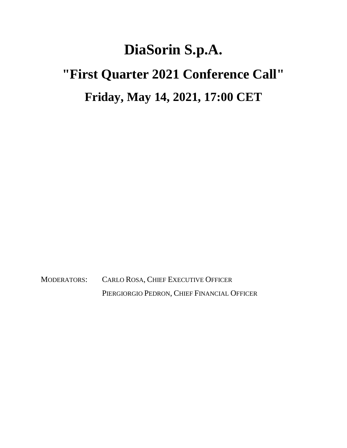## **DiaSorin S.p.A. "First Quarter 2021 Conference Call" Friday, May 14, 2021, 17:00 CET**

MODERATORS: CARLO ROSA, CHIEF EXECUTIVE OFFICER PIERGIORGIO PEDRON, CHIEF FINANCIAL OFFICER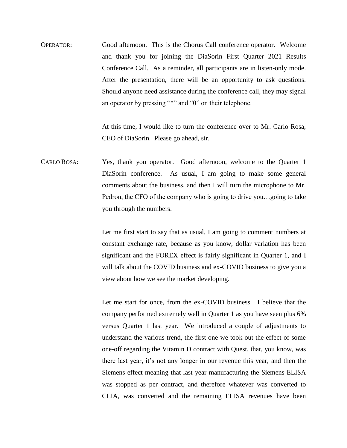OPERATOR: Good afternoon. This is the Chorus Call conference operator. Welcome and thank you for joining the DiaSorin First Quarter 2021 Results Conference Call. As a reminder, all participants are in listen-only mode. After the presentation, there will be an opportunity to ask questions. Should anyone need assistance during the conference call, they may signal an operator by pressing "\*" and "0" on their telephone.

> At this time, I would like to turn the conference over to Mr. Carlo Rosa, CEO of DiaSorin. Please go ahead, sir.

CARLO ROSA: Yes, thank you operator. Good afternoon, welcome to the Quarter 1 DiaSorin conference. As usual, I am going to make some general comments about the business, and then I will turn the microphone to Mr. Pedron, the CFO of the company who is going to drive you…going to take you through the numbers.

> Let me first start to say that as usual, I am going to comment numbers at constant exchange rate, because as you know, dollar variation has been significant and the FOREX effect is fairly significant in Quarter 1, and I will talk about the COVID business and ex-COVID business to give you a view about how we see the market developing.

> Let me start for once, from the ex-COVID business. I believe that the company performed extremely well in Quarter 1 as you have seen plus 6% versus Quarter 1 last year. We introduced a couple of adjustments to understand the various trend, the first one we took out the effect of some one-off regarding the Vitamin D contract with Quest, that, you know, was there last year, it's not any longer in our revenue this year, and then the Siemens effect meaning that last year manufacturing the Siemens ELISA was stopped as per contract, and therefore whatever was converted to CLIA, was converted and the remaining ELISA revenues have been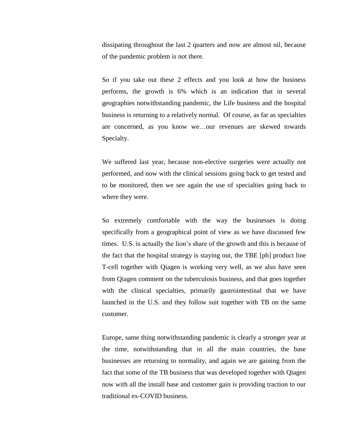dissipating throughout the last 2 quarters and now are almost nil, because of the pandemic problem is not there.

So if you take out these 2 effects and you look at how the business performs, the growth is 6% which is an indication that in several geographies notwithstanding pandemic, the Life business and the hospital business is returning to a relatively normal. Of course, as far as specialties are concerned, as you know we…our revenues are skewed towards Specialty.

We suffered last year, because non-elective surgeries were actually not performed, and now with the clinical sessions going back to get tested and to be monitored, then we see again the use of specialties going back to where they were.

So extremely comfortable with the way the businesses is doing specifically from a geographical point of view as we have discussed few times. U.S. is actually the lion's share of the growth and this is because of the fact that the hospital strategy is staying out, the TBE [ph] product line T-cell together with Qiagen is working very well, as we also have seen from Qiagen comment on the tuberculosis business, and that goes together with the clinical specialties, primarily gastrointestinal that we have launched in the U.S. and they follow suit together with TB on the same customer.

Europe, same thing notwithstanding pandemic is clearly a stronger year at the time, notwithstanding that in all the main countries, the base businesses are returning to normality, and again we are gaining from the fact that some of the TB business that was developed together with Qiagen now with all the install base and customer gain is providing traction to our traditional ex-COVID business.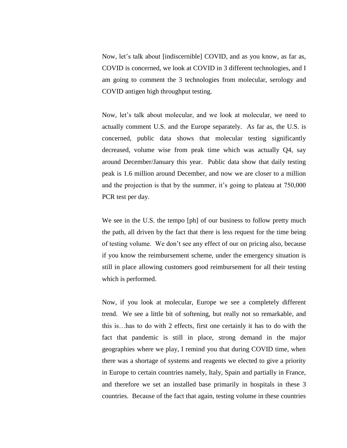Now, let's talk about [indiscernible] COVID, and as you know, as far as, COVID is concerned, we look at COVID in 3 different technologies, and I am going to comment the 3 technologies from molecular, serology and COVID antigen high throughput testing.

Now, let's talk about molecular, and we look at molecular, we need to actually comment U.S. and the Europe separately. As far as, the U.S. is concerned, public data shows that molecular testing significantly decreased, volume wise from peak time which was actually Q4, say around December/January this year. Public data show that daily testing peak is 1.6 million around December, and now we are closer to a million and the projection is that by the summer, it's going to plateau at 750,000 PCR test per day.

We see in the U.S. the tempo [ph] of our business to follow pretty much the path, all driven by the fact that there is less request for the time being of testing volume. We don't see any effect of our on pricing also, because if you know the reimbursement scheme, under the emergency situation is still in place allowing customers good reimbursement for all their testing which is performed.

Now, if you look at molecular, Europe we see a completely different trend. We see a little bit of softening, but really not so remarkable, and this is…has to do with 2 effects, first one certainly it has to do with the fact that pandemic is still in place, strong demand in the major geographies where we play, I remind you that during COVID time, when there was a shortage of systems and reagents we elected to give a priority in Europe to certain countries namely, Italy, Spain and partially in France, and therefore we set an installed base primarily in hospitals in these 3 countries. Because of the fact that again, testing volume in these countries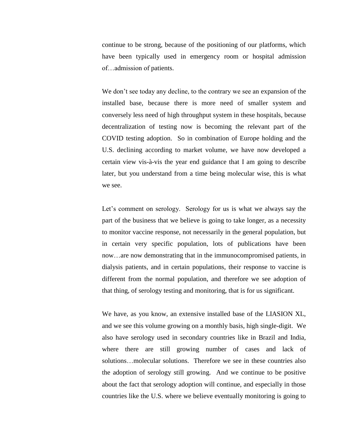continue to be strong, because of the positioning of our platforms, which have been typically used in emergency room or hospital admission of…admission of patients.

We don't see today any decline, to the contrary we see an expansion of the installed base, because there is more need of smaller system and conversely less need of high throughput system in these hospitals, because decentralization of testing now is becoming the relevant part of the COVID testing adoption. So in combination of Europe holding and the U.S. declining according to market volume, we have now developed a certain view vis-à-vis the year end guidance that I am going to describe later, but you understand from a time being molecular wise, this is what we see.

Let's comment on serology. Serology for us is what we always say the part of the business that we believe is going to take longer, as a necessity to monitor vaccine response, not necessarily in the general population, but in certain very specific population, lots of publications have been now…are now demonstrating that in the immunocompromised patients, in dialysis patients, and in certain populations, their response to vaccine is different from the normal population, and therefore we see adoption of that thing, of serology testing and monitoring, that is for us significant.

We have, as you know, an extensive installed base of the LIASION XL, and we see this volume growing on a monthly basis, high single-digit. We also have serology used in secondary countries like in Brazil and India, where there are still growing number of cases and lack of solutions…molecular solutions. Therefore we see in these countries also the adoption of serology still growing. And we continue to be positive about the fact that serology adoption will continue, and especially in those countries like the U.S. where we believe eventually monitoring is going to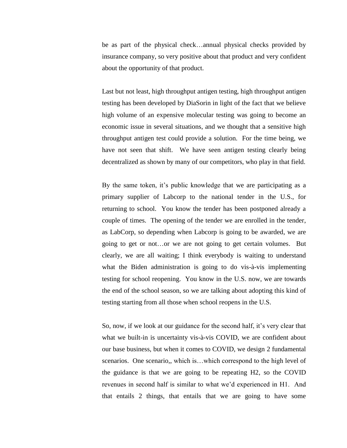be as part of the physical check…annual physical checks provided by insurance company, so very positive about that product and very confident about the opportunity of that product.

Last but not least, high throughput antigen testing, high throughput antigen testing has been developed by DiaSorin in light of the fact that we believe high volume of an expensive molecular testing was going to become an economic issue in several situations, and we thought that a sensitive high throughput antigen test could provide a solution. For the time being, we have not seen that shift. We have seen antigen testing clearly being decentralized as shown by many of our competitors, who play in that field.

By the same token, it's public knowledge that we are participating as a primary supplier of Labcorp to the national tender in the U.S., for returning to school. You know the tender has been postponed already a couple of times. The opening of the tender we are enrolled in the tender, as LabCorp, so depending when Labcorp is going to be awarded, we are going to get or not…or we are not going to get certain volumes. But clearly, we are all waiting; I think everybody is waiting to understand what the Biden administration is going to do vis-à-vis implementing testing for school reopening. You know in the U.S. now, we are towards the end of the school season, so we are talking about adopting this kind of testing starting from all those when school reopens in the U.S.

So, now, if we look at our guidance for the second half, it's very clear that what we built-in is uncertainty vis-à-vis COVID, we are confident about our base business, but when it comes to COVID, we design 2 fundamental scenarios. One scenario,, which is...which correspond to the high level of the guidance is that we are going to be repeating H2, so the COVID revenues in second half is similar to what we'd experienced in H1. And that entails 2 things, that entails that we are going to have some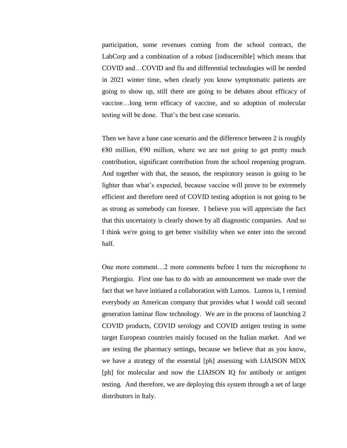participation, some revenues coming from the school contract, the LabCorp and a combination of a robust [indiscernible] which means that COVID and…COVID and flu and differential technologies will be needed in 2021 winter time, when clearly you know symptomatic patients are going to show up, still there are going to be debates about efficacy of vaccine…long term efficacy of vaccine, and so adoption of molecular testing will be done. That's the best case scenario.

Then we have a base case scenario and the difference between 2 is roughly  $\epsilon$ 80 million,  $\epsilon$ 90 million, where we are not going to get pretty much contribution, significant contribution from the school reopening program. And together with that, the season, the respiratory season is going to be lighter than what's expected, because vaccine will prove to be extremely efficient and therefore need of COVID testing adoption is not going to be as strong as somebody can foresee. I believe you will appreciate the fact that this uncertainty is clearly shown by all diagnostic companies. And so I think we're going to get better visibility when we enter into the second half.

One more comment…2 more comments before I turn the microphone to Piergiorgio. First one has to do with an announcement we made over the fact that we have initiated a collaboration with Lumos. Lumos is, I remind everybody an American company that provides what I would call second generation laminar flow technology. We are in the process of launching 2 COVID products, COVID serology and COVID antigen testing in some target European countries mainly focused on the Italian market. And we are testing the pharmacy settings, because we believe that as you know, we have a strategy of the essential [ph] assessing with LIAISON MDX [ph] for molecular and now the LIAISON IQ for antibody or antigen testing. And therefore, we are deploying this system through a set of large distributors in Italy.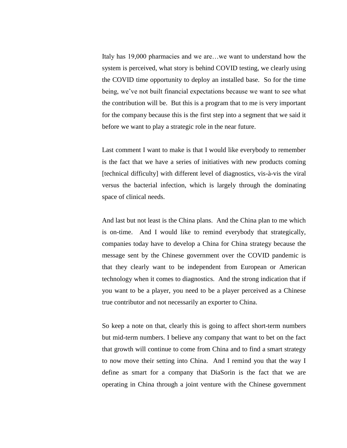Italy has 19,000 pharmacies and we are…we want to understand how the system is perceived, what story is behind COVID testing, we clearly using the COVID time opportunity to deploy an installed base. So for the time being, we've not built financial expectations because we want to see what the contribution will be. But this is a program that to me is very important for the company because this is the first step into a segment that we said it before we want to play a strategic role in the near future.

Last comment I want to make is that I would like everybody to remember is the fact that we have a series of initiatives with new products coming [technical difficulty] with different level of diagnostics, vis-à-vis the viral versus the bacterial infection, which is largely through the dominating space of clinical needs.

And last but not least is the China plans. And the China plan to me which is on-time. And I would like to remind everybody that strategically, companies today have to develop a China for China strategy because the message sent by the Chinese government over the COVID pandemic is that they clearly want to be independent from European or American technology when it comes to diagnostics. And the strong indication that if you want to be a player, you need to be a player perceived as a Chinese true contributor and not necessarily an exporter to China.

So keep a note on that, clearly this is going to affect short-term numbers but mid-term numbers. I believe any company that want to bet on the fact that growth will continue to come from China and to find a smart strategy to now move their setting into China. And I remind you that the way I define as smart for a company that DiaSorin is the fact that we are operating in China through a joint venture with the Chinese government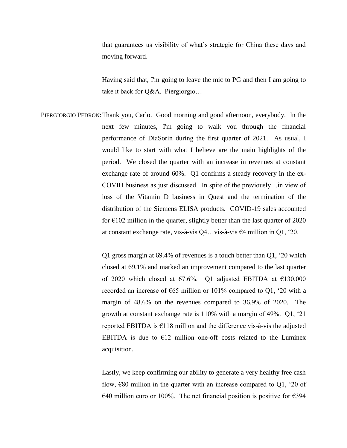that guarantees us visibility of what's strategic for China these days and moving forward.

Having said that, I'm going to leave the mic to PG and then I am going to take it back for Q&A. Piergiorgio…

PIERGIORGIO PEDRON:Thank you, Carlo. Good morning and good afternoon, everybody. In the next few minutes, I'm going to walk you through the financial performance of DiaSorin during the first quarter of 2021. As usual, I would like to start with what I believe are the main highlights of the period. We closed the quarter with an increase in revenues at constant exchange rate of around 60%. Q1 confirms a steady recovery in the ex-COVID business as just discussed. In spite of the previously…in view of loss of the Vitamin D business in Quest and the termination of the distribution of the Siemens ELISA products. COVID-19 sales accounted for  $\epsilon$ 102 million in the quarter, slightly better than the last quarter of 2020 at constant exchange rate, vis-à-vis Q4…vis-à-vis €4 million in Q1, '20.

> Q1 gross margin at 69.4% of revenues is a touch better than Q1, '20 which closed at 69.1% and marked an improvement compared to the last quarter of 2020 which closed at 67.6%. Q1 adjusted EBITDA at €130,000 recorded an increase of  $\epsilon$ 65 million or 101% compared to Q1, '20 with a margin of 48.6% on the revenues compared to 36.9% of 2020. The growth at constant exchange rate is 110% with a margin of 49%. Q1, '21 reported EBITDA is  $E118$  million and the difference vis-à-vis the adjusted EBITDA is due to  $E12$  million one-off costs related to the Luminex acquisition.

> Lastly, we keep confirming our ability to generate a very healthy free cash flow,  $\epsilon$ 80 million in the quarter with an increase compared to Q1, '20 of €40 million euro or 100%. The net financial position is positive for €394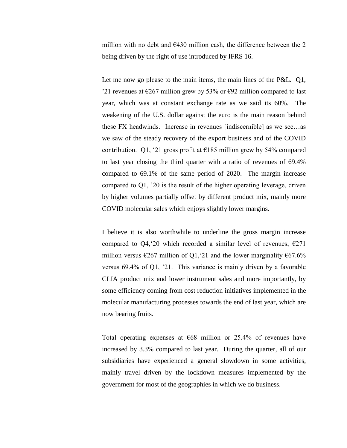million with no debt and  $\epsilon$ 430 million cash, the difference between the 2 being driven by the right of use introduced by IFRS 16.

Let me now go please to the main items, the main lines of the P&L. Q1, '21 revenues at €267 million grew by 53% or €92 million compared to last year, which was at constant exchange rate as we said its 60%. The weakening of the U.S. dollar against the euro is the main reason behind these FX headwinds. Increase in revenues [indiscernible] as we see…as we saw of the steady recovery of the export business and of the COVID contribution. Q1, '21 gross profit at  $\epsilon$ 185 million grew by 54% compared to last year closing the third quarter with a ratio of revenues of 69.4% compared to 69.1% of the same period of 2020. The margin increase compared to Q1, '20 is the result of the higher operating leverage, driven by higher volumes partially offset by different product mix, mainly more COVID molecular sales which enjoys slightly lower margins.

I believe it is also worthwhile to underline the gross margin increase compared to Q4, 20 which recorded a similar level of revenues,  $\epsilon$ 271 million versus  $\epsilon$ 267 million of Q1, 21 and the lower marginality  $\epsilon$ 67.6% versus 69.4% of Q1, '21. This variance is mainly driven by a favorable CLIA product mix and lower instrument sales and more importantly, by some efficiency coming from cost reduction initiatives implemented in the molecular manufacturing processes towards the end of last year, which are now bearing fruits.

Total operating expenses at  $\epsilon$ 68 million or 25.4% of revenues have increased by 3.3% compared to last year. During the quarter, all of our subsidiaries have experienced a general slowdown in some activities, mainly travel driven by the lockdown measures implemented by the government for most of the geographies in which we do business.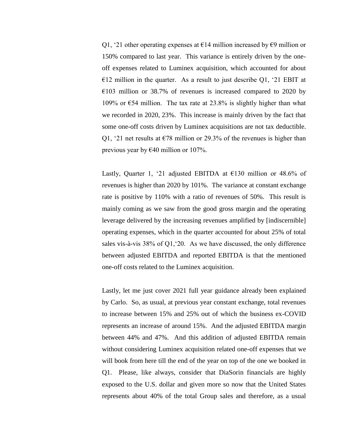Q1, '21 other operating expenses at  $\epsilon$ 14 million increased by  $\epsilon$ 9 million or 150% compared to last year. This variance is entirely driven by the oneoff expenses related to Luminex acquisition, which accounted for about  $E12$  million in the quarter. As a result to just describe Q1, '21 EBIT at  $E103$  million or 38.7% of revenues is increased compared to 2020 by 109% or  $\epsilon$ 54 million. The tax rate at 23.8% is slightly higher than what we recorded in 2020, 23%. This increase is mainly driven by the fact that some one-off costs driven by Luminex acquisitions are not tax deductible. Q1, '21 net results at  $\epsilon$ 78 million or 29.3% of the revenues is higher than previous year by €40 million or 107%.

Lastly, Quarter 1, '21 adjusted EBITDA at  $E$ 130 million or 48.6% of revenues is higher than 2020 by 101%. The variance at constant exchange rate is positive by 110% with a ratio of revenues of 50%. This result is mainly coming as we saw from the good gross margin and the operating leverage delivered by the increasing revenues amplified by [indiscernible] operating expenses, which in the quarter accounted for about 25% of total sales vis-à-vis 38% of Q1,'20. As we have discussed, the only difference between adjusted EBITDA and reported EBITDA is that the mentioned one-off costs related to the Luminex acquisition.

Lastly, let me just cover 2021 full year guidance already been explained by Carlo. So, as usual, at previous year constant exchange, total revenues to increase between 15% and 25% out of which the business ex-COVID represents an increase of around 15%. And the adjusted EBITDA margin between 44% and 47%. And this addition of adjusted EBITDA remain without considering Luminex acquisition related one-off expenses that we will book from here till the end of the year on top of the one we booked in Q1. Please, like always, consider that DiaSorin financials are highly exposed to the U.S. dollar and given more so now that the United States represents about 40% of the total Group sales and therefore, as a usual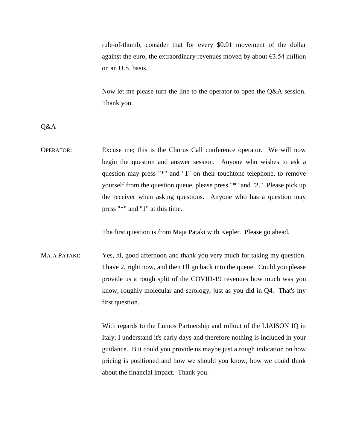rule-of-thumb, consider that for every \$0.01 movement of the dollar against the euro, the extraordinary revenues moved by about  $\epsilon$ 3.54 million on an U.S. basis.

Now let me please turn the line to the operator to open the Q&A session. Thank you.

Q&A

OPERATOR: Excuse me; this is the Chorus Call conference operator. We will now begin the question and answer session. Anyone who wishes to ask a question may press "\*" and "1" on their touchtone telephone, to remove yourself from the question queue, please press "\*" and "2." Please pick up the receiver when asking questions. Anyone who has a question may press "\*" and "1" at this time.

The first question is from Maja Pataki with Kepler. Please go ahead.

MAJA PATAKI: Yes, hi, good afternoon and thank you very much for taking my question. I have 2, right now, and then I'll go back into the queue. Could you please provide us a rough split of the COVID-19 revenues how much was you know, roughly molecular and serology, just as you did in Q4. That's my first question.

> With regards to the Lumos Partnership and rollout of the LIAISON IQ in Italy, I understand it's early days and therefore nothing is included in your guidance. But could you provide us maybe just a rough indication on how pricing is positioned and how we should you know, how we could think about the financial impact. Thank you.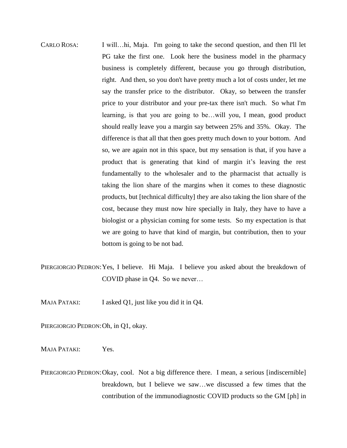- CARLO ROSA: I will…hi, Maja. I'm going to take the second question, and then I'll let PG take the first one. Look here the business model in the pharmacy business is completely different, because you go through distribution, right. And then, so you don't have pretty much a lot of costs under, let me say the transfer price to the distributor. Okay, so between the transfer price to your distributor and your pre-tax there isn't much. So what I'm learning, is that you are going to be…will you, I mean, good product should really leave you a margin say between 25% and 35%. Okay. The difference is that all that then goes pretty much down to your bottom. And so, we are again not in this space, but my sensation is that, if you have a product that is generating that kind of margin it's leaving the rest fundamentally to the wholesaler and to the pharmacist that actually is taking the lion share of the margins when it comes to these diagnostic products, but [technical difficulty] they are also taking the lion share of the cost, because they must now hire specially in Italy, they have to have a biologist or a physician coming for some tests. So my expectation is that we are going to have that kind of margin, but contribution, then to your bottom is going to be not bad.
- PIERGIORGIO PEDRON: Yes, I believe. Hi Maja. I believe you asked about the breakdown of COVID phase in Q4. So we never…
- MAJA PATAKI: I asked Q1, just like you did it in Q4.

PIERGIORGIO PEDRON: Oh, in Q1, okay.

MAJA PATAKI: Yes.

PIERGIORGIO PEDRON: Okay, cool. Not a big difference there. I mean, a serious [indiscernible] breakdown, but I believe we saw…we discussed a few times that the contribution of the immunodiagnostic COVID products so the GM [ph] in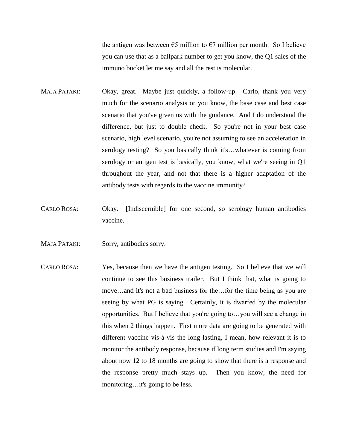the antigen was between  $\epsilon$ 5 million to  $\epsilon$ 7 million per month. So I believe you can use that as a ballpark number to get you know, the Q1 sales of the immuno bucket let me say and all the rest is molecular.

- MAJA PATAKI: Okay, great. Maybe just quickly, a follow-up. Carlo, thank you very much for the scenario analysis or you know, the base case and best case scenario that you've given us with the guidance. And I do understand the difference, but just to double check. So you're not in your best case scenario, high level scenario, you're not assuming to see an acceleration in serology testing? So you basically think it's...whatever is coming from serology or antigen test is basically, you know, what we're seeing in Q1 throughout the year, and not that there is a higher adaptation of the antibody tests with regards to the vaccine immunity?
- CARLO ROSA: Okay. [Indiscernible] for one second, so serology human antibodies vaccine.
- MAJA PATAKI: Sorry, antibodies sorry.
- CARLO ROSA: Yes, because then we have the antigen testing. So I believe that we will continue to see this business trailer. But I think that, what is going to move…and it's not a bad business for the…for the time being as you are seeing by what PG is saying. Certainly, it is dwarfed by the molecular opportunities. But I believe that you're going to…you will see a change in this when 2 things happen. First more data are going to be generated with different vaccine vis-à-vis the long lasting, I mean, how relevant it is to monitor the antibody response, because if long term studies and I'm saying about now 12 to 18 months are going to show that there is a response and the response pretty much stays up. Then you know, the need for monitoring…it's going to be less.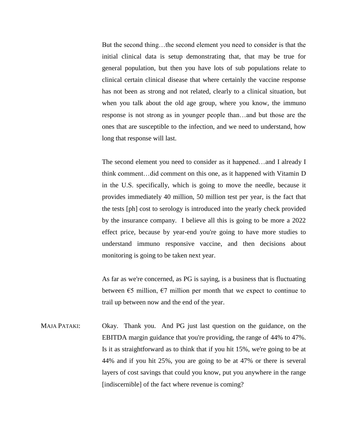But the second thing…the second element you need to consider is that the initial clinical data is setup demonstrating that, that may be true for general population, but then you have lots of sub populations relate to clinical certain clinical disease that where certainly the vaccine response has not been as strong and not related, clearly to a clinical situation, but when you talk about the old age group, where you know, the immuno response is not strong as in younger people than…and but those are the ones that are susceptible to the infection, and we need to understand, how long that response will last.

The second element you need to consider as it happened…and I already I think comment…did comment on this one, as it happened with Vitamin D in the U.S. specifically, which is going to move the needle, because it provides immediately 40 million, 50 million test per year, is the fact that the tests [ph] cost to serology is introduced into the yearly check provided by the insurance company. I believe all this is going to be more a 2022 effect price, because by year-end you're going to have more studies to understand immuno responsive vaccine, and then decisions about monitoring is going to be taken next year.

As far as we're concerned, as PG is saying, is a business that is fluctuating between  $\epsilon$ 5 million,  $\epsilon$ 7 million per month that we expect to continue to trail up between now and the end of the year.

MAJA PATAKI: Okay. Thank you. And PG just last question on the guidance, on the EBITDA margin guidance that you're providing, the range of 44% to 47%. Is it as straightforward as to think that if you hit 15%, we're going to be at 44% and if you hit 25%, you are going to be at 47% or there is several layers of cost savings that could you know, put you anywhere in the range [indiscernible] of the fact where revenue is coming?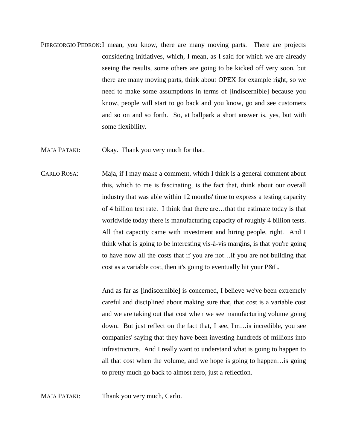- PIERGIORGIO PEDRON: I mean, you know, there are many moving parts. There are projects considering initiatives, which, I mean, as I said for which we are already seeing the results, some others are going to be kicked off very soon, but there are many moving parts, think about OPEX for example right, so we need to make some assumptions in terms of [indiscernible] because you know, people will start to go back and you know, go and see customers and so on and so forth. So, at ballpark a short answer is, yes, but with some flexibility.
- MAJA PATAKI: Okay. Thank you very much for that.
- CARLO ROSA: Maja, if I may make a comment, which I think is a general comment about this, which to me is fascinating, is the fact that, think about our overall industry that was able within 12 months' time to express a testing capacity of 4 billion test rate. I think that there are…that the estimate today is that worldwide today there is manufacturing capacity of roughly 4 billion tests. All that capacity came with investment and hiring people, right. And I think what is going to be interesting vis-à-vis margins, is that you're going to have now all the costs that if you are not…if you are not building that cost as a variable cost, then it's going to eventually hit your P&L.

And as far as [indiscernible] is concerned, I believe we've been extremely careful and disciplined about making sure that, that cost is a variable cost and we are taking out that cost when we see manufacturing volume going down. But just reflect on the fact that, I see, I'm…is incredible, you see companies' saying that they have been investing hundreds of millions into infrastructure. And I really want to understand what is going to happen to all that cost when the volume, and we hope is going to happen…is going to pretty much go back to almost zero, just a reflection.

MAJA PATAKI: Thank you very much, Carlo.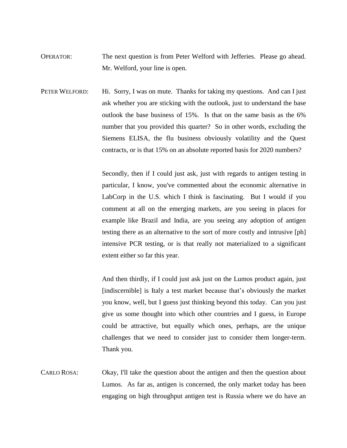- OPERATOR: The next question is from Peter Welford with Jefferies. Please go ahead. Mr. Welford, your line is open.
- PETER WELFORD: Hi. Sorry, I was on mute. Thanks for taking my questions. And can I just ask whether you are sticking with the outlook, just to understand the base outlook the base business of 15%. Is that on the same basis as the 6% number that you provided this quarter? So in other words, excluding the Siemens ELISA, the flu business obviously volatility and the Quest contracts, or is that 15% on an absolute reported basis for 2020 numbers?

Secondly, then if I could just ask, just with regards to antigen testing in particular, I know, you've commented about the economic alternative in LabCorp in the U.S. which I think is fascinating. But I would if you comment at all on the emerging markets, are you seeing in places for example like Brazil and India, are you seeing any adoption of antigen testing there as an alternative to the sort of more costly and intrusive [ph] intensive PCR testing, or is that really not materialized to a significant extent either so far this year.

And then thirdly, if I could just ask just on the Lumos product again, just [indiscernible] is Italy a test market because that's obviously the market you know, well, but I guess just thinking beyond this today. Can you just give us some thought into which other countries and I guess, in Europe could be attractive, but equally which ones, perhaps, are the unique challenges that we need to consider just to consider them longer-term. Thank you.

CARLO ROSA: Okay, I'll take the question about the antigen and then the question about Lumos. As far as, antigen is concerned, the only market today has been engaging on high throughput antigen test is Russia where we do have an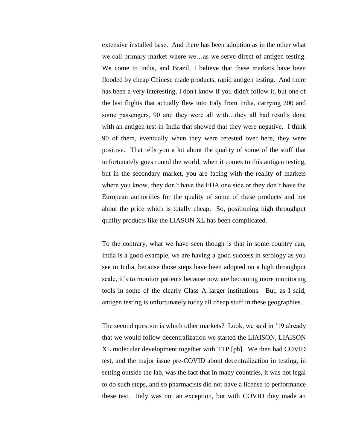extensive installed base. And there has been adoption as in the other what we call primary market where we…as we serve direct of antigen testing. We come to India, and Brazil, I believe that these markets have been flooded by cheap Chinese made products, rapid antigen testing. And there has been a very interesting, I don't know if you didn't follow it, but one of the last flights that actually flew into Italy from India, carrying 200 and some passengers, 90 and they were all with…they all had results done with an antigen test in India that showed that they were negative. I think 90 of them, eventually when they were retested over here, they were positive. That tells you a lot about the quality of some of the stuff that unfortunately goes round the world, when it comes to this antigen testing, but in the secondary market, you are facing with the reality of markets where you know, they don't have the FDA one side or they don't have the European authorities for the quality of some of these products and not about the price which is totally cheap. So, positioning high throughput quality products like the LIASON XL has been complicated.

To the contrary, what we have seen though is that in some country can, India is a good example, we are having a good success in serology as you see in India, because those steps have been adopted on a high throughput scale, it's to monitor patients because now are becoming more monitoring tools in some of the clearly Class A larger institutions. But, as I said, antigen testing is unfortunately today all cheap stuff in these geographies.

The second question is which other markets? Look, we said in '19 already that we would follow decentralization we started the LIAISON, LIAISON XL molecular development together with TTP [ph]. We then had COVID test, and the major issue pre-COVID about decentralization in testing, in setting outside the lab, was the fact that in many countries, it was not legal to do such steps, and so pharmacists did not have a license to performance these test. Italy was not an exception, but with COVID they made an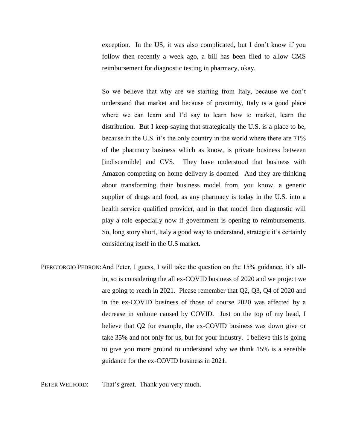exception. In the US, it was also complicated, but I don't know if you follow then recently a week ago, a bill has been filed to allow CMS reimbursement for diagnostic testing in pharmacy, okay.

So we believe that why are we starting from Italy, because we don't understand that market and because of proximity, Italy is a good place where we can learn and I'd say to learn how to market, learn the distribution. But I keep saying that strategically the U.S. is a place to be, because in the U.S. it's the only country in the world where there are 71% of the pharmacy business which as know, is private business between [indiscernible] and CVS. They have understood that business with Amazon competing on home delivery is doomed. And they are thinking about transforming their business model from, you know, a generic supplier of drugs and food, as any pharmacy is today in the U.S. into a health service qualified provider, and in that model then diagnostic will play a role especially now if government is opening to reimbursements. So, long story short, Italy a good way to understand, strategic it's certainly considering itself in the U.S market.

PIERGIORGIO PEDRON: And Peter, I guess, I will take the question on the 15% guidance, it's allin, so is considering the all ex-COVID business of 2020 and we project we are going to reach in 2021. Please remember that Q2, Q3, Q4 of 2020 and in the ex-COVID business of those of course 2020 was affected by a decrease in volume caused by COVID. Just on the top of my head, I believe that Q2 for example, the ex-COVID business was down give or take 35% and not only for us, but for your industry. I believe this is going to give you more ground to understand why we think 15% is a sensible guidance for the ex-COVID business in 2021.

PETER WELFORD: That's great. Thank you very much.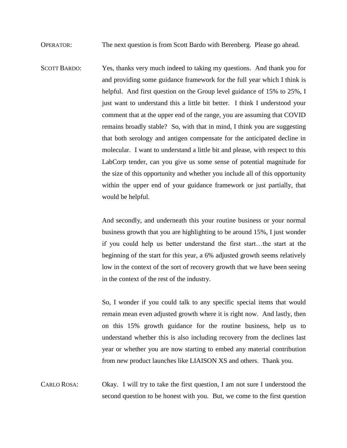OPERATOR: The next question is from Scott Bardo with Berenberg. Please go ahead.

SCOTT BARDO: Yes, thanks very much indeed to taking my questions. And thank you for and providing some guidance framework for the full year which I think is helpful. And first question on the Group level guidance of 15% to 25%, I just want to understand this a little bit better. I think I understood your comment that at the upper end of the range, you are assuming that COVID remains broadly stable? So, with that in mind, I think you are suggesting that both serology and antigen compensate for the anticipated decline in molecular. I want to understand a little bit and please, with respect to this LabCorp tender, can you give us some sense of potential magnitude for the size of this opportunity and whether you include all of this opportunity within the upper end of your guidance framework or just partially, that would be helpful.

> And secondly, and underneath this your routine business or your normal business growth that you are highlighting to be around 15%, I just wonder if you could help us better understand the first start…the start at the beginning of the start for this year, a 6% adjusted growth seems relatively low in the context of the sort of recovery growth that we have been seeing in the context of the rest of the industry.

> So, I wonder if you could talk to any specific special items that would remain mean even adjusted growth where it is right now. And lastly, then on this 15% growth guidance for the routine business, help us to understand whether this is also including recovery from the declines last year or whether you are now starting to embed any material contribution from new product launches like LIAISON XS and others. Thank you.

CARLO ROSA: Okay. I will try to take the first question, I am not sure I understood the second question to be honest with you. But, we come to the first question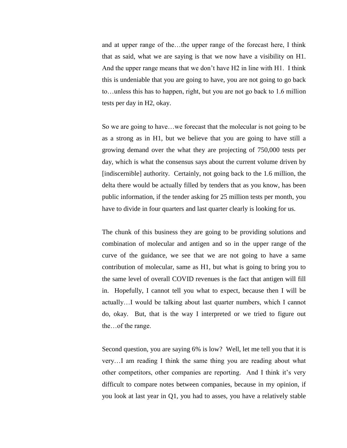and at upper range of the…the upper range of the forecast here, I think that as said, what we are saying is that we now have a visibility on H1. And the upper range means that we don't have H2 in line with H1. I think this is undeniable that you are going to have, you are not going to go back to…unless this has to happen, right, but you are not go back to 1.6 million tests per day in H2, okay.

So we are going to have…we forecast that the molecular is not going to be as a strong as in H1, but we believe that you are going to have still a growing demand over the what they are projecting of 750,000 tests per day, which is what the consensus says about the current volume driven by [indiscernible] authority. Certainly, not going back to the 1.6 million, the delta there would be actually filled by tenders that as you know, has been public information, if the tender asking for 25 million tests per month, you have to divide in four quarters and last quarter clearly is looking for us.

The chunk of this business they are going to be providing solutions and combination of molecular and antigen and so in the upper range of the curve of the guidance, we see that we are not going to have a same contribution of molecular, same as H1, but what is going to bring you to the same level of overall COVID revenues is the fact that antigen will fill in. Hopefully, I cannot tell you what to expect, because then I will be actually…I would be talking about last quarter numbers, which I cannot do, okay. But, that is the way I interpreted or we tried to figure out the…of the range.

Second question, you are saying 6% is low? Well, let me tell you that it is very…I am reading I think the same thing you are reading about what other competitors, other companies are reporting. And I think it's very difficult to compare notes between companies, because in my opinion, if you look at last year in Q1, you had to asses, you have a relatively stable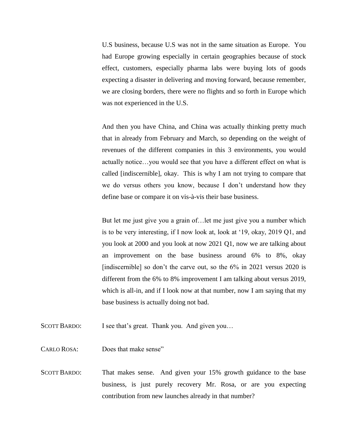U.S business, because U.S was not in the same situation as Europe. You had Europe growing especially in certain geographies because of stock effect, customers, especially pharma labs were buying lots of goods expecting a disaster in delivering and moving forward, because remember, we are closing borders, there were no flights and so forth in Europe which was not experienced in the U.S.

And then you have China, and China was actually thinking pretty much that in already from February and March, so depending on the weight of revenues of the different companies in this 3 environments, you would actually notice…you would see that you have a different effect on what is called [indiscernible], okay. This is why I am not trying to compare that we do versus others you know, because I don't understand how they define base or compare it on vis-à-vis their base business.

But let me just give you a grain of…let me just give you a number which is to be very interesting, if I now look at, look at '19, okay, 2019 Q1, and you look at 2000 and you look at now 2021 Q1, now we are talking about an improvement on the base business around 6% to 8%, okay [indiscernible] so don't the carve out, so the 6% in 2021 versus 2020 is different from the 6% to 8% improvement I am talking about versus 2019, which is all-in, and if I look now at that number, now I am saying that my base business is actually doing not bad.

SCOTT BARDO: I see that's great. Thank you. And given you...

CARLO ROSA: Does that make sense"

SCOTT BARDO: That makes sense. And given your 15% growth guidance to the base business, is just purely recovery Mr. Rosa, or are you expecting contribution from new launches already in that number?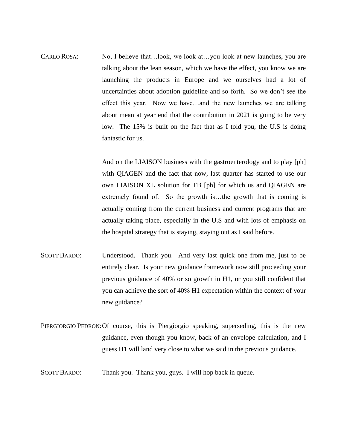CARLO ROSA: No, I believe that…look, we look at…you look at new launches, you are talking about the lean season, which we have the effect, you know we are launching the products in Europe and we ourselves had a lot of uncertainties about adoption guideline and so forth. So we don't see the effect this year. Now we have…and the new launches we are talking about mean at year end that the contribution in 2021 is going to be very low. The 15% is built on the fact that as I told you, the U.S is doing fantastic for us.

> And on the LIAISON business with the gastroenterology and to play [ph] with QIAGEN and the fact that now, last quarter has started to use our own LIAISON XL solution for TB [ph] for which us and QIAGEN are extremely found of. So the growth is…the growth that is coming is actually coming from the current business and current programs that are actually taking place, especially in the U.S and with lots of emphasis on the hospital strategy that is staying, staying out as I said before.

- SCOTT BARDO: Understood. Thank you. And very last quick one from me, just to be entirely clear. Is your new guidance framework now still proceeding your previous guidance of 40% or so growth in H1, or you still confident that you can achieve the sort of 40% H1 expectation within the context of your new guidance?
- PIERGIORGIO PEDRON:Of course, this is Piergiorgio speaking, superseding, this is the new guidance, even though you know, back of an envelope calculation, and I guess H1 will land very close to what we said in the previous guidance.
- SCOTT BARDO: Thank you. Thank you, guys. I will hop back in queue.